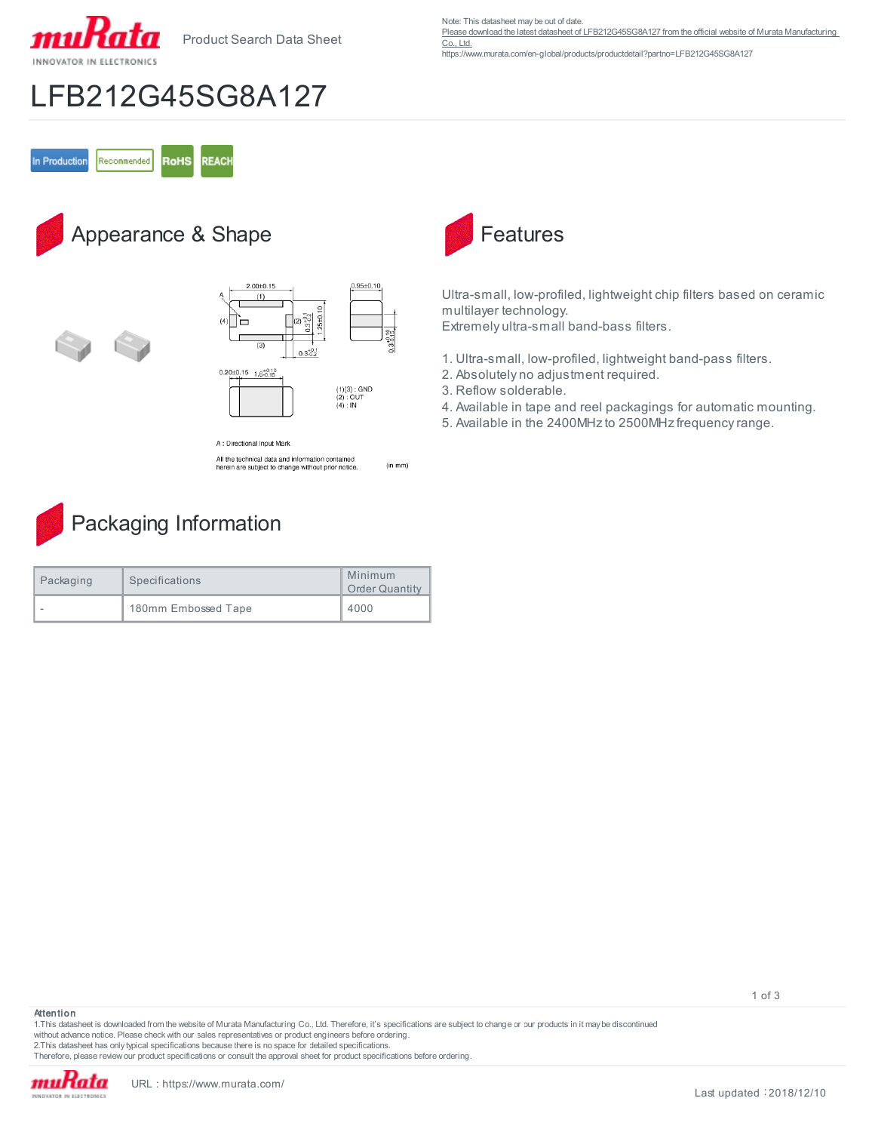

Product Search Data Sheet

Note: This datasheet may be out of date.

Please download the latest datasheet of LFB212G45SG8A127 from the official website of Murata Manufacturing

[Co., Ltd.](https://www.murata.com/en-global/products/productdetail?partno=LFB212G45SG8A127) https://www.murata.com/en-global/products/productdetail?partno=LFB212G45SG8A127

## LFB212G45SG8A127

In Production Recommended **RoHS REACH** 

## Appearance & Shape





A : Directional Input Mark

All the technical data and information contained<br>herein are subject to change without prior notice (in mm)



| Packaging | Specifications      | Minimum<br><b>Order Quantity</b> |
|-----------|---------------------|----------------------------------|
| -         | 180mm Embossed Tape | 4000                             |



Ultra-small, low-profiled, lightweight chip filters based on ceramic multilayer technology.

Extremely ultra-small band-bass filters.

- 1. Ultra-small, low-profiled, lightweight band-pass filters.
- 2. Absolutely no adjustment required.
- 3. Reflow solderable.
- 4. Available in tape and reel packagings for automatic mounting.
- 5. Available in the 2400MHz to 2500MHz frequency range.

**Attention**

1.This datasheet is downloaded from the website of Murata Manufacturing Co., Ltd. Therefore, it's specifications are subject to change or our products in it may be discontinued without advance notice. Please check with our sales representatives or product engineers before ordering.

2.This datasheet has only typical specifications because there is no space for detailed specifications.

Therefore, please review our product specifications or consult the approval sheet for product specifications before ordering.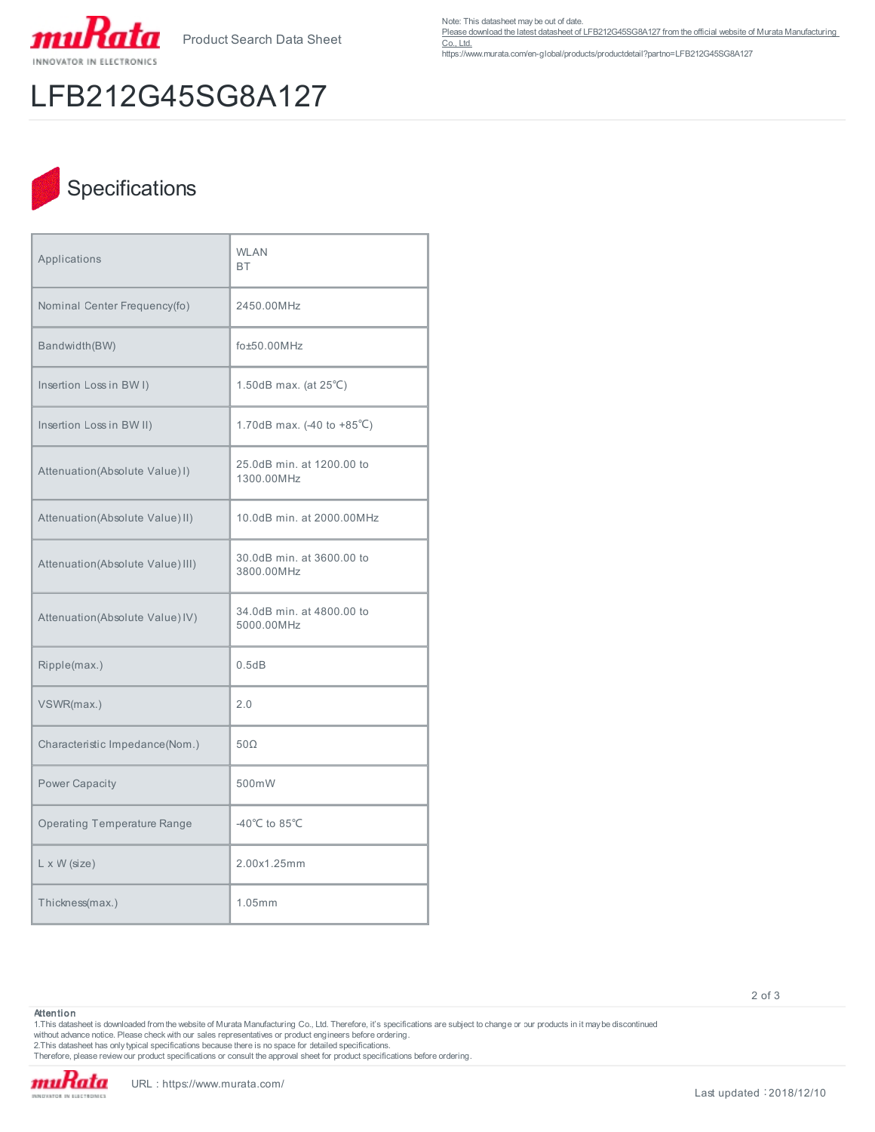

Product Search Data Sheet

LFB212G45SG8A127

Note: This datasheet may be out of date.

Please download the latest datasheet of LFB212G45SG8A127 from the official website of Murata Manufacturing

[Co., Ltd.](https://www.murata.com/en-global/products/productdetail?partno=LFB212G45SG8A127) https://www.murata.com/en-global/products/productdetail?partno=LFB212G45SG8A127

## Specifications

| Applications                       | <b>WLAN</b><br><b>BT</b>                            |  |
|------------------------------------|-----------------------------------------------------|--|
| Nominal Center Frequency(fo)       | 2450.00MHz                                          |  |
| Bandwidth(BW)                      | fo±50.00MHz                                         |  |
| Insertion Loss in BWI)             | 1.50dB max. (at $25^{\circ}$ C)                     |  |
| Insertion Loss in BW II)           | 1.70dB max. $(-40 \text{ to } +85^{\circ}\text{C})$ |  |
| Attenuation(Absolute Value) I)     | 25.0dB min. at 1200.00 to<br>1300.00MHz             |  |
| Attenuation(Absolute Value) II)    | 10.0dB min. at 2000.00MHz                           |  |
| Attenuation(Absolute Value) III)   | 30.0dB min. at 3600.00 to<br>3800.00MHz             |  |
| Attenuation(Absolute Value) IV)    | 34.0dB min. at 4800.00 to<br>5000.00MHz             |  |
| Ripple(max.)                       | 0.5dB                                               |  |
| VSWR(max.)                         | 2.0                                                 |  |
| Characteristic Impedance(Nom.)     | $50\Omega$                                          |  |
| <b>Power Capacity</b>              | 500mW                                               |  |
| <b>Operating Temperature Range</b> | -40 $^{\circ}$ C to 85 $^{\circ}$ C                 |  |
| $L \times W$ (size)                | 2.00x1.25mm                                         |  |
| Thickness(max.)                    | 1.05mm                                              |  |

2 of 3

**Attention**

1.This datasheet is downloaded from the website of Murata Manufacturing Co., Ltd. Therefore, it's specifications are subject to change or our products in it may be discontinued without advance notice. Please check with our sales representatives or product engineers before ordering.

2.This datasheet has only typical specifications because there is no space for detailed specifications.

Therefore, please review our product specifications or consult the approval sheet for product specifications before ordering.